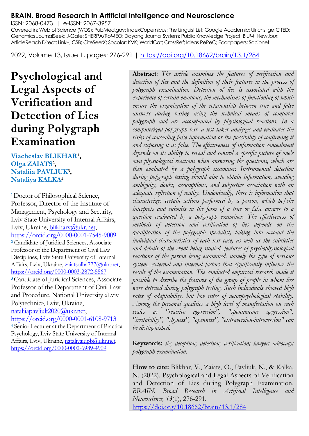#### **BRAIN. Broad Research in Artificial Intelligence and Neuroscience**

ISSN: 2068-0473 | e-ISSN: 2067-3957

Covered in: Web of Science (WOS); PubMed.gov; IndexCopernicus; The Linguist List; Google Academic; Ulrichs; getCITED; Genamics JournalSeek; J-Gate; SHERPA/RoMEO; Dayang Journal System; Public Knowledge Project; BIUM; NewJour; ArticleReach Direct; Link+; CSB; CiteSeerX; Socolar; KVK; WorldCat; CrossRef; Ideas RePeC; Econpapers; Socionet.

2022, Volume 13, Issue 1, pages: 276-291 |<https://doi.org/10.18662/brain/13.1/284>

# **Psychological and Legal Aspects of Verification and Detection of Lies during Polygraph Examination**

Viacheslav **BLIKHAR<sup>1</sup>**, **Olga ZAIATS<sup>2</sup> , Nataliia PAVLIUK<sup>3</sup> , Nataliya KALKA<sup>4</sup>**

**<sup>1</sup>**Doctor of Philosophical Science, Professor, Director of the Institute of Management, Psychology and Security, Lviv State University of Internal Affairs, Lviv, Ukraine, [blikharv@ukr.net,](mailto:blikharv@ukr.net) <https://orcid.org/0000-0001-7545-9009> **<sup>2</sup>** Candidate of Juridical Sciences, Associate Professor of the Department of Civil Law Disciplines, Lviv State University of Internal Affairs, Lviv, Ukraine, [zaiatsolha777@ukr.net,](mailto:zaiatsolha777@ukr.net) <https://orcid.org/0000-0003-2872-5567> **<sup>3</sup>**Candidate of Juridical Sciences, Associate Professor of the Department of Civil Law and Procedure, National University «Lviv Polytechnic», Lviv, Ukraine, [nataliiapavliuk2020@ukr.net,](mailto:nataliiapavliuk2020@ukr.net) <https://orcid.org/0000-0001-6108-9713> **<sup>4</sup>** Senior Lecturer at the Department of Practical Psychology, Lviv State University of Internal Affairs, Lviv, Ukraine, [nataliyaiupb@ukr.net,](mailto:nataliyaiupb@ukr.net)

<https://orcid.org/0000-0002-6989-4909>

**Abstract**: *The article examines the features of verification and detection of lies and the definition of their features in the process of polygraph examination. Detection of lies is associated with the experience of certain emotions, the mechanisms of functioning of which ensure the organization of the relationship between true and false answers during testing using the technical means of computer polygraph and are accompanied by physiological reactions. In a computerized polygraph test, a test taker analyzes and evaluates the risks of concealing false information or the possibility of confirming it and exposing it as false. The effectiveness of information concealment depends on its ability to reveal and control a specific picture of one's own physiological reactions when answering the questions, which are then evaluated by a polygraph examiner. Instrumental detection during polygraph testing should aim to obtain information, avoiding ambiguity, doubt, assumptions, and subjective association with an adequate reflection of reality. Undoubtedly, there is information that characterizes certain actions performed by a person, which he/she interprets and submits in the form of a true or false answer to a question evaluated by a polygraph examiner. The effectiveness of methods of detection and verification of lies depends on the qualification of the polygraph specialist, taking into account the individual characteristics of each test case, as well as the subtleties and details of the event being studied, features of psychophysiological reactions of the person being examined, namely the type of nervous system, external and internal factors that significantly influence the result of the examination. The conducted empirical research made it possible to describe the features of the group of people in whom lies were detected during polygraph testing. Such individuals showed high rates of adaptability, but low rates of neuropsychological stability. Among the personal qualities a high level of manifestation on such scales as "reactive aggression", "spontaneous aggression", "irritability", "shyness", "openness", "extraversion-introversion" can be distinguished.*

**Keywords:** *lie; deception; detection; verification; lawyer; advocacy; polygraph examination.*

**How to cite:** Blikhar, V., Zaiats, O., Pavliuk, N., & Kalka, N. (2022). Psychological and Legal Aspects of Verification and Detection of Lies during Polygraph Examination. *BRAIN. Broad Research in Artificial Intelligence and Neuroscience, 13*(1), 276-291. <https://doi.org/10.18662/brain/13.1/284>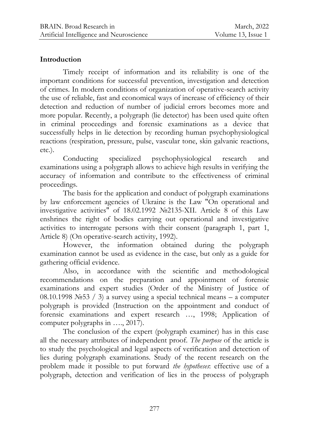## **Introduction**

Timely receipt of information and its reliability is one of the important conditions for successful prevention, investigation and detection of crimes. In modern conditions of organization of operative-search activity the use of reliable, fast and economical ways of increase of efficiency of their detection and reduction of number of judicial errors becomes more and more popular. Recently, a polygraph (lie detector) has been used quite often in criminal proceedings and forensic examinations as a device that successfully helps in lie detection by recording human psychophysiological reactions (respiration, pressure, pulse, vascular tone, skin galvanic reactions, etc.).

Conducting specialized psychophysiological research and examinations using a polygraph allows to achieve high results in verifying the accuracy of information and contribute to the effectiveness of criminal proceedings.

The basis for the application and conduct of polygraph examinations by law enforcement agencies of Ukraine is the Law "On operational and investigative activities" of 18.02.1992 №2135-XII. Article 8 of this Law enshrines the right of bodies carrying out operational and investigative activities to interrogate persons with their consent (paragraph 1, part 1, Article 8) (On operative-search activity, 1992).

However, the information obtained during the polygraph examination cannot be used as evidence in the case, but only as a guide for gathering official evidence.

Also, in accordance with the scientific and methodological recommendations on the preparation and appointment of forensic examinations and expert studies (Order of the Ministry of Justice of 08.10.1998 №53 / 3) a survey using a special technical means – a computer polygraph is provided (Instruction on the appointment and conduct of forensic examinations and expert research …, 1998; Application of computer polygraphs in …., 2017).

The conclusion of the expert (polygraph examiner) has in this case all the necessary attributes of independent proof. *The purpose* of the article is to study the psychological and legal aspects of verification and detection of lies during polygraph examinations. Study of the recent research on the problem made it possible to put forward *the hypotheses*: effective use of a polygraph, detection and verification of lies in the process of polygraph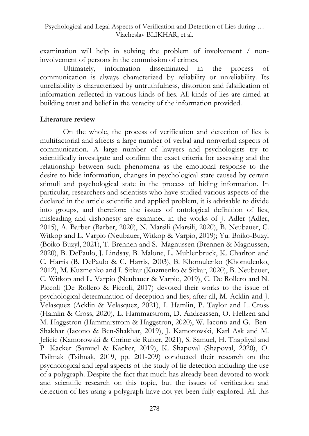examination will help in solving the problem of involvement / noninvolvement of persons in the commission of crimes.

Ultimately, information disseminated in the process of communication is always characterized by reliability or unreliability. Its unreliability is characterized by untruthfulness, distortion and falsification of information reflected in various kinds of lies. All kinds of lies are aimed at building trust and belief in the veracity of the information provided.

#### **Literature review**

On the whole, the process of verification and detection of lies is multifactorial and affects a large number of verbal and nonverbal aspects of communication. A large number of lawyers and psychologists try to scientifically investigate and confirm the exact criteria for assessing and the relationship between such phenomena as the emotional response to the desire to hide information, changes in psychological state caused by certain stimuli and psychological state in the process of hiding information. In particular, researchers and scientists who have studied various aspects of the declared in the article scientific and applied problem, it is advisable to divide into groups, and therefore: the issues of ontological definition of lies, misleading and dishonesty are examined in the works of J. Adler (Adler, 2015), A. Barber (Barber, 2020), N. Marsili (Marsili, 2020), B. Neubauer, C. Witkop and L. Varpio (Neubauer, Witkop & Varpio, 2019); Yu. Boiko-Buzyl (Boiko-Buzyl, 2021), T. Brennen and S. Magnussen (Brennen & Magnussen, 2020), B. DePaulo, J. Lindsay, B. Malone, L. Muhlenbruck, K. Charlton and C. Harris (B. DePaulo & C. Harris, 2003), B. Khomulenko (Khomulenko, 2012), M. Kuzmenko and I. Sitkar (Kuzmenko & Sitkar, 2020), B. Neubauer, C. Witkop and L. Varpio (Neubauer & Varpio, 2019), C. De Rollero and N. Piccoli (De Rollero & Piccoli, 2017) devoted their works to the issue of psychological determination of deception and lies; after all, M. Acklin and J. Velasquez (Acklin & Velasquez, 2021), I. Hamlin, P. Taylor and L. Cross (Hamlin & Cross, 2020), L. Hammarstrom, D. Andreassen, O. Hellzen and M. Haggstron (Hammarstrom & Haggstron, 2020), W. Iacono and G. Ben-Shakhar (Iacono & Ben-Shakhar, 2019), J. Kamorowski, Karl Ask and M. Jelícic (Kamorowski & Corine de Ruiter, 2021), S. Samuel, H. Thapliyal and P. Kacker (Samuel & Kacker, 2019), K. Shapoval (Shapoval, 2020), O. Tsilmak (Tsilmak, 2019, pp. 201-209) conducted their research on the psychological and legal aspects of the study of lie detection including the use of a polygraph. Despite the fact that much has already been devoted to work and scientific research on this topic, but the issues of verification and detection of lies using a polygraph have not yet been fully explored. All this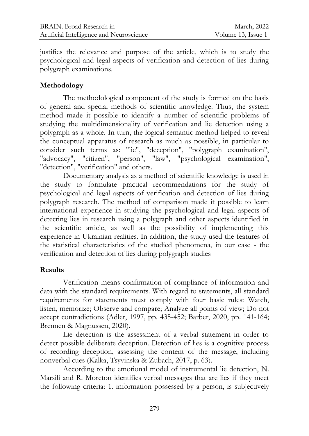justifies the relevance and purpose of the article, which is to study the psychological and legal aspects of verification and detection of lies during polygraph examinations.

## **Methodology**

The methodological component of the study is formed on the basis of general and special methods of scientific knowledge. Thus, the system method made it possible to identify a number of scientific problems of studying the multidimensionality of verification and lie detection using a polygraph as a whole. In turn, the logical-semantic method helped to reveal the conceptual apparatus of research as much as possible, in particular to consider such terms as: "lie", "deception", "polygraph examination", "advocacy", "citizen", "person", "law", "psychological examination", "detection", "verification" and others.

Documentary analysis as a method of scientific knowledge is used in the study to formulate practical recommendations for the study of psychological and legal aspects of verification and detection of lies during polygraph research. The method of comparison made it possible to learn international experience in studying the psychological and legal aspects of detecting lies in research using a polygraph and other aspects identified in the scientific article, as well as the possibility of implementing this experience in Ukrainian realities. In addition, the study used the features of the statistical characteristics of the studied phenomena, in our case - the verification and detection of lies during polygraph studies

#### **Results**

Verification means confirmation of compliance of information and data with the standard requirements. With regard to statements, all standard requirements for statements must comply with four basic rules: Watch, listen, memorize; Observe and compare; Analyze all points of view; Do not accept contradictions (Adler, 1997, pp. 435-452; Barber, 2020, pp. 141-164; Brennen & Magnussen, 2020).

Lie detection is the assessment of a verbal statement in order to detect possible deliberate deception. Detection of lies is a cognitive process of recording deception, assessing the content of the message, including nonverbal cues (Kalka, Tsyvinska & Zubach, 2017, p. 63).

According to the emotional model of instrumental lie detection, N. Marsili and R. Moreton identifies verbal messages that are lies if they meet the following criteria: 1. information possessed by a person, is subjectively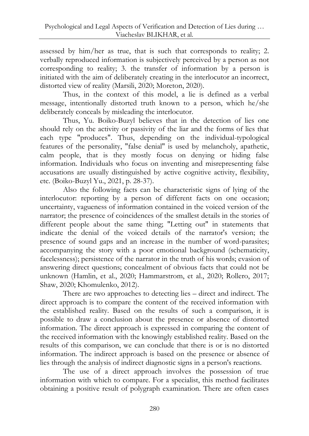assessed by him/her as true, that is such that corresponds to reality; 2. verbally reproduced information is subjectively perceived by a person as not corresponding to reality; 3. the transfer of information by a person is initiated with the aim of deliberately creating in the interlocutor an incorrect, distorted view of reality (Marsili, 2020; Moreton, 2020).

Thus, in the context of this model, a lie is defined as a verbal message, intentionally distorted truth known to a person, which he/she deliberately conceals by misleading the interlocutor.

Thus, Yu. Boiko-Buzyl believes that in the detection of lies one should rely on the activity or passivity of the liar and the forms of lies that each type "produces". Thus, depending on the individual-typological features of the personality, "false denial" is used by melancholy, apathetic, calm people, that is they mostly focus on denying or hiding false information. Individuals who focus on inventing and misrepresenting false accusations are usually distinguished by active cognitive activity, flexibility, etc. (Boiko-Buzyl Yu., 2021, p. 28-37).

Also the following facts can be characteristic signs of lying of the interlocutor: reporting by a person of different facts on one occasion; uncertainty, vagueness of information contained in the voiced version of the narrator; the presence of coincidences of the smallest details in the stories of different people about the same thing; "Letting out" in statements that indicate the denial of the voiced details of the narrator's version; the presence of sound gaps and an increase in the number of word-parasites; accompanying the story with a poor emotional background (schematicity, facelessness); persistence of the narrator in the truth of his words; evasion of answering direct questions; concealment of obvious facts that could not be unknown (Hamlin, et al., 2020; Hammarstrom, et al., 2020; Rollero, 2017; Shaw, 2020; Khomulenko, 2012).

There are two approaches to detecting lies – direct and indirect. The direct approach is to compare the content of the received information with the established reality. Based on the results of such a comparison, it is possible to draw a conclusion about the presence or absence of distorted information. The direct approach is expressed in comparing the content of the received information with the knowingly established reality. Based on the results of this comparison, we can conclude that there is or is no distorted information. The indirect approach is based on the presence or absence of lies through the analysis of indirect diagnostic signs in a person's reactions.

The use of a direct approach involves the possession of true information with which to compare. For a specialist, this method facilitates obtaining a positive result of polygraph examination. There are often cases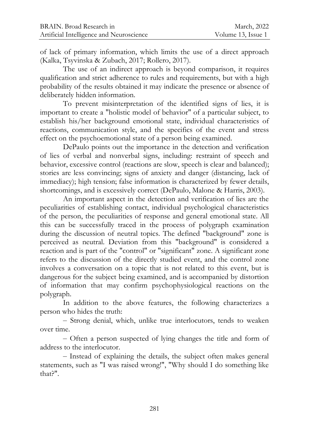of lack of primary information, which limits the use of a direct approach (Kalka, Tsyvinska & Zubach, 2017; Rollero, 2017).

The use of an indirect approach is beyond comparison, it requires qualification and strict adherence to rules and requirements, but with a high probability of the results obtained it may indicate the presence or absence of deliberately hidden information.

To prevent misinterpretation of the identified signs of lies, it is important to create a "holistic model of behavior" of a particular subject, to establish his/her background emotional state, individual characteristics of reactions, communication style, and the specifics of the event and stress effect on the psychoemotional state of a person being examined.

DePaulo points out the importance in the detection and verification of lies of verbal and nonverbal signs, including: restraint of speech and behavior, excessive control (reactions are slow, speech is clear and balanced); stories are less convincing; signs of anxiety and danger (distancing, lack of immediacy); high tension; false information is characterized by fewer details, shortcomings, and is excessively correct (DePaulo, Malone & Harris, 2003).

An important aspect in the detection and verification of lies are the peculiarities of establishing contact, individual psychological characteristics of the person, the peculiarities of response and general emotional state. All this can be successfully traced in the process of polygraph examination during the discussion of neutral topics. The defined "background" zone is perceived as neutral. Deviation from this "background" is considered a reaction and is part of the "control" or "significant" zone. A significant zone refers to the discussion of the directly studied event, and the control zone involves a conversation on a topic that is not related to this event, but is dangerous for the subject being examined, and is accompanied by distortion of information that may confirm psychophysiological reactions on the polygraph.

In addition to the above features, the following characterizes a person who hides the truth:

‒ Strong denial, which, unlike true interlocutors, tends to weaken over time.

‒ Often a person suspected of lying changes the title and form of address to the interlocutor.

‒ Instead of explaining the details, the subject often makes general statements, such as "I was raised wrong!", "Why should I do something like that?".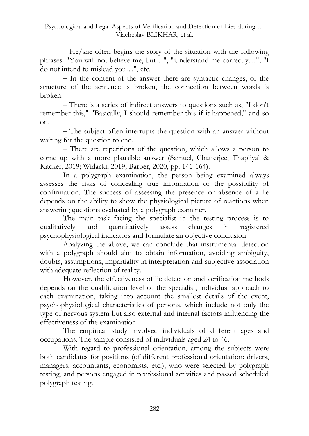‒ He/she often begins the story of the situation with the following phrases: "You will not believe me, but…", "Understand me correctly…", "I do not intend to mislead you…", etc.

‒ In the content of the answer there are syntactic changes, or the structure of the sentence is broken, the connection between words is broken.

‒ There is a series of indirect answers to questions such as, "I don't remember this," "Basically, I should remember this if it happened," and so on.

‒ The subject often interrupts the question with an answer without waiting for the question to end.

‒ There are repetitions of the question, which allows a person to come up with a more plausible answer (Samuel, Chatterjee, Thapliyal & Kacker, 2019; Widacki, 2019; Barber, 2020, pp. 141-164).

In a polygraph examination, the person being examined always assesses the risks of concealing true information or the possibility of confirmation. The success of assessing the presence or absence of a lie depends on the ability to show the physiological picture of reactions when answering questions evaluated by a polygraph examiner.

The main task facing the specialist in the testing process is to qualitatively and quantitatively assess changes in registered psychophysiological indicators and formulate an objective conclusion.

Analyzing the above, we can conclude that instrumental detection with a polygraph should aim to obtain information, avoiding ambiguity, doubts, assumptions, impartiality in interpretation and subjective association with adequate reflection of reality.

However, the effectiveness of lie detection and verification methods depends on the qualification level of the specialist, individual approach to each examination, taking into account the smallest details of the event, psychophysiological characteristics of persons, which include not only the type of nervous system but also external and internal factors influencing the effectiveness of the examination.

The empirical study involved individuals of different ages and occupations. The sample consisted of individuals aged 24 to 46.

With regard to professional orientation, among the subjects were both candidates for positions (of different professional orientation: drivers, managers, accountants, economists, etc.), who were selected by polygraph testing, and persons engaged in professional activities and passed scheduled polygraph testing.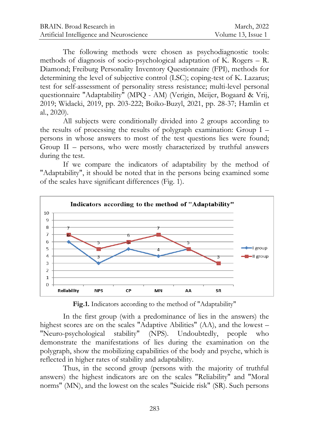The following methods were chosen as psychodiagnostic tools: methods of diagnosis of socio-psychological adaptation of K. Rogers – R. Diamond; Freiburg Personality Inventory Questionnaire (FPI), methods for determining the level of subjective control (LSC); coping-test of K. Lazarus; test for self-assessment of personality stress resistance; multi-level personal questionnaire "Adaptability" (MPQ - AM) (Verigin, Meijer, Bogaard & Vrij, 2019; Widacki, 2019, pp. 203-222; Boiko-Buzyl, 2021, pp. 28-37; Hamlin et al., 2020).

All subjects were conditionally divided into 2 groups according to the results of processing the results of polygraph examination: Group I – persons in whose answers to most of the test questions lies were found; Group II – persons, who were mostly characterized by truthful answers during the test.

If we compare the indicators of adaptability by the method of "Adaptability", it should be noted that in the persons being examined some of the scales have significant differences (Fig. 1).



**Fig.1.** Indicators according to the method of "Adaptability"

In the first group (with a predominance of lies in the answers) the highest scores are on the scales "Adaptive Abilities" (AA), and the lowest – "Neuro-psychological stability" (NPS). Undoubtedly, people who demonstrate the manifestations of lies during the examination on the polygraph, show the mobilizing capabilities of the body and psyche, which is reflected in higher rates of stability and adaptability.

Thus, in the second group (persons with the majority of truthful answers) the highest indicators are on the scales "Reliability" and "Moral norms" (MN), and the lowest on the scales "Suicide risk" (SR). Such persons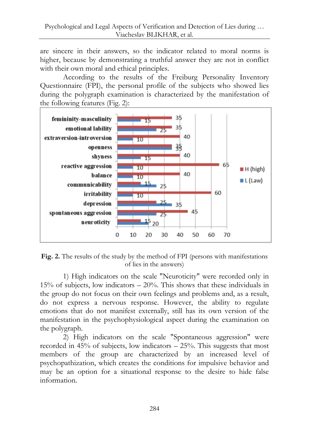are sincere in their answers, so the indicator related to moral norms is higher, because by demonstrating a truthful answer they are not in conflict with their own moral and ethical principles.

According to the results of the Freiburg Personality Inventory Questionnaire (FPI), the personal profile of the subjects who showed lies during the polygraph examination is characterized by the manifestation of the following features (Fig. 2):



**Fig. 2.** The results of the study by the method of FPI (persons with manifestations of lies in the answers)

1) High indicators on the scale "Neuroticity" were recorded only in 15% of subjects, low indicators – 20%. This shows that these individuals in the group do not focus on their own feelings and problems and, as a result, do not express a nervous response. However, the ability to regulate emotions that do not manifest externally, still has its own version of the manifestation in the psychophysiological aspect during the examination on the polygraph.

2) High indicators on the scale "Spontaneous aggression" were recorded in 45% of subjects, low indicators – 25%. This suggests that most members of the group are characterized by an increased level of psychopathization, which creates the conditions for impulsive behavior and may be an option for a situational response to the desire to hide false information.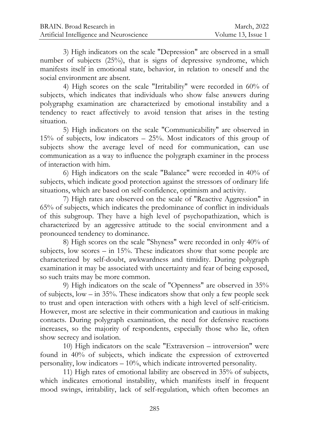3) High indicators on the scale "Depression" are observed in a small number of subjects (25%), that is signs of depressive syndrome, which manifests itself in emotional state, behavior, in relation to oneself and the social environment are absent.

4) High scores on the scale "Irritability" were recorded in 60% of subjects, which indicates that individuals who show false answers during polygraphg examination are characterized by emotional instability and a tendency to react affectively to avoid tension that arises in the testing situation.

5) High indicators on the scale "Communicability" are observed in 15% of subjects, low indicators – 25%. Most indicators of this group of subjects show the average level of need for communication, can use communication as a way to influence the polygraph examiner in the process of interaction with him.

6) High indicators on the scale "Balance" were recorded in 40% of subjects, which indicate good protection against the stressors of ordinary life situations, which are based on self-confidence, optimism and activity.

7) High rates are observed on the scale of "Reactive Aggression" in 65% of subjects, which indicates the predominance of conflict in individuals of this subgroup. They have a high level of psychopathization, which is characterized by an aggressive attitude to the social environment and a pronounced tendency to dominance.

8) High scores on the scale "Shyness" were recorded in only 40% of subjects, low scores – in 15%. These indicators show that some people are characterized by self-doubt, awkwardness and timidity. During polygraph examination it may be associated with uncertainty and fear of being exposed, so such traits may be more common.

9) High indicators on the scale of "Openness" are observed in 35% of subjects, low – in 35%. These indicators show that only a few people seek to trust and open interaction with others with a high level of self-criticism. However, most are selective in their communication and cautious in making contacts. During polygraph examination, the need for defensive reactions increases, so the majority of respondents, especially those who lie, often show secrecy and isolation.

10) High indicators on the scale "Extraversion – introversion" were found in 40% of subjects, which indicate the expression of extroverted personality, low indicators – 10%, which indicate introverted personality.

11) High rates of emotional lability are observed in 35% of subjects, which indicates emotional instability, which manifests itself in frequent mood swings, irritability, lack of self-regulation, which often becomes an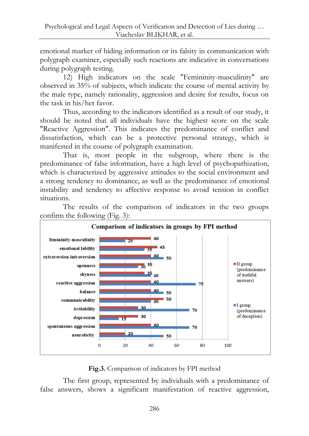emotional marker of hiding information or its falsity in communication with polygraph examiner, especially such reactions are indicative in conversations during polygraph testing.

12) High indicators on the scale "Femininity-masculinity" are observed in 35% of subjects, which indicate the course of mental activity by the male type, namely rationality, aggression and desire for results, focus on the task in his/her favor.

Thus, according to the indicators identified as a result of our study, it should be noted that all individuals have the highest score on the scale "Reactive Aggression". This indicates the predominance of conflict and dissatisfaction, which can be a protective personal strategy, which is manifested in the course of polygraph examination.

That is, most people in the subgroup, where there is the predominance of false information, have a high level of psychopathization, which is characterized by aggressive attitudes to the social environment and a strong tendency to dominance, as well as the predominance of emotional instability and tendency to affective response to avoid tension in conflict situations.



The results of the comparison of indicators in the two groups confirm the following (Fig. 3):

**Fig.3.** Comparison of indicators by FPI method

The first group, represented by individuals with a predominance of false answers, shows a significant manifestation of reactive aggression,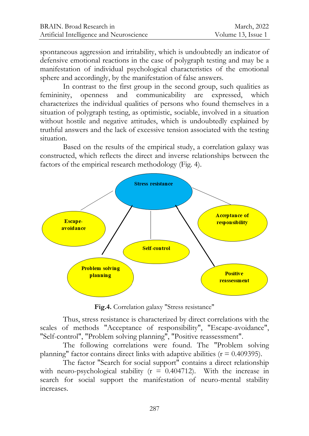spontaneous aggression and irritability, which is undoubtedly an indicator of defensive emotional reactions in the case of polygraph testing and may be a manifestation of individual psychological characteristics of the emotional sphere and accordingly, by the manifestation of false answers.

In contrast to the first group in the second group, such qualities as femininity, openness and communicability are expressed, which characterizes the individual qualities of persons who found themselves in a situation of polygraph testing, as optimistic, sociable, involved in a situation without hostile and negative attitudes, which is undoubtedly explained by truthful answers and the lack of excessive tension associated with the testing situation.

Based on the results of the empirical study, a correlation galaxy was constructed, which reflects the direct and inverse relationships between the factors of the empirical research methodology (Fig. 4).



**Fig.4.** Correlation galaxy "Stress resistance"

Thus, stress resistance is characterized by direct correlations with the scales of methods "Acceptance of responsibility", "Escape-avoidance", "Self-control", "Problem solving planning", "Positive reassessment".

The following correlations were found. The "Problem solving planning" factor contains direct links with adaptive abilities ( $r = 0.409395$ ).

The factor "Search for social support" contains a direct relationship with neuro-psychological stability ( $r = 0.404712$ ). With the increase in search for social support the manifestation of neuro-mental stability increases.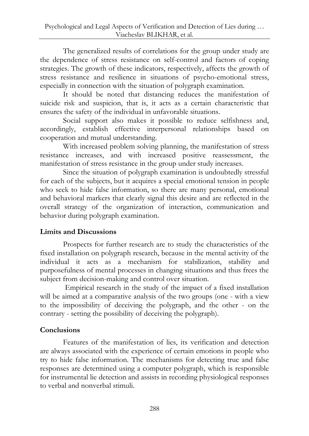The generalized results of correlations for the group under study are the dependence of stress resistance on self-control and factors of coping strategies. The growth of these indicators, respectively, affects the growth of stress resistance and resilience in situations of psycho-emotional stress, especially in connection with the situation of polygraph examination.

It should be noted that distancing reduces the manifestation of suicide risk and suspicion, that is, it acts as a certain characteristic that ensures the safety of the individual in unfavorable situations.

Social support also makes it possible to reduce selfishness and, accordingly, establish effective interpersonal relationships based on cooperation and mutual understanding.

With increased problem solving planning, the manifestation of stress resistance increases, and with increased positive reassessment, the manifestation of stress resistance in the group under study increases.

Since the situation of polygraph examination is undoubtedly stressful for each of the subjects, but it acquires a special emotional tension in people who seek to hide false information, so there are many personal, emotional and behavioral markers that clearly signal this desire and are reflected in the overall strategy of the organization of interaction, communication and behavior during polygraph examination.

## **Limits and Discussions**

Prospects for further research are to study the characteristics of the fixed installation on polygraph research, because in the mental activity of the individual it acts as a mechanism for stabilization, stability and purposefulness of mental processes in changing situations and thus frees the subject from decision-making and control over situation.

Empirical research in the study of the impact of a fixed installation will be aimed at a comparative analysis of the two groups (one - with a view to the impossibility of deceiving the polygraph, and the other - on the contrary - setting the possibility of deceiving the polygraph).

#### **Conclusions**

Features of the manifestation of lies, its verification and detection are always associated with the experience of certain emotions in people who try to hide false information. The mechanisms for detecting true and false responses are determined using a computer polygraph, which is responsible for instrumental lie detection and assists in recording physiological responses to verbal and nonverbal stimuli.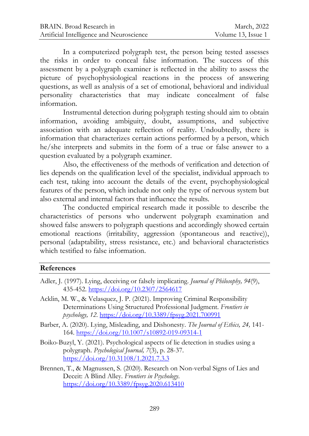In a computerized polygraph test, the person being tested assesses the risks in order to conceal false information. The success of this assessment by a polygraph examiner is reflected in the ability to assess the picture of psychophysiological reactions in the process of answering questions, as well as analysis of a set of emotional, behavioral and individual personality characteristics that may indicate concealment of false information.

Instrumental detection during polygraph testing should aim to obtain information, avoiding ambiguity, doubt, assumptions, and subjective association with an adequate reflection of reality. Undoubtedly, there is information that characterizes certain actions performed by a person, which he/she interprets and submits in the form of a true or false answer to a question evaluated by a polygraph examiner.

Also, the effectiveness of the methods of verification and detection of lies depends on the qualification level of the specialist, individual approach to each test, taking into account the details of the event, psychophysiological features of the person, which include not only the type of nervous system but also external and internal factors that influence the results.

The conducted empirical research made it possible to describe the characteristics of persons who underwent polygraph examination and showed false answers to polygraph questions and accordingly showed certain emotional reactions (irritability, aggression (spontaneous and reactive)), personal (adaptability, stress resistance, etc.) and behavioral characteristics which testified to false information.

#### **References**

- Adler, J. (1997). Lying, deceiving or falsely implicating. *Journal of Philosophy, 94*(9), 435-452.<https://doi.org/10.2307/2564617>
- Acklin, M. W., & Velasquez, J. P. (2021). Improving Criminal Responsibility Determinations Using Structured Professional Judgment. *Frontiers in psychology, 12.* <https://doi.org/10.3389/fpsyg.2021.700991>
- Barber, A. (2020). Lying, Misleading, and Dishonesty. *The Journal of Ethics, 24,* 141- 164.<https://doi.org/10.1007/s10892-019-09314-1>
- Boiko-Buzyl, Y. (2021). Psychological aspects of lie detection in studies using a polygraph. *Psychological Journal, 7*(3), p. 28-37. <https://doi.org/10.31108/1.2021.7.3.3>
- Brennen, T., & Magnussen, S. (2020). Research on Non-verbal Signs of Lies and Deceit: A Blind Alley. *Frontiers in Psychology*. <https://doi.org/10.3389/fpsyg.2020.613410>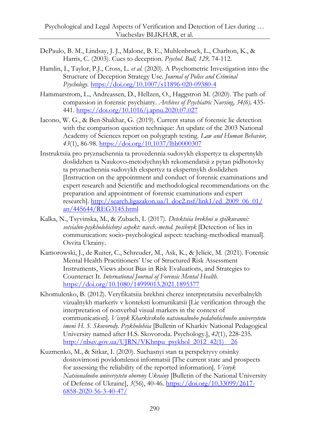- DePaulo, B. M., Lindsay, J. J., Malone, B. E., Muhlenbruck, L., Charlton, K., & Harris, C. (2003). Cues to deception. *Psychol. Bull, 129,* 74-112.
- Hamlin, I., Taylor, P.J., Cross, L. *et al.* (2020). A Psychometric Investigation into the Structure of Deception Strategy Use. *Journal of Police and Criminal Psychology.* <https://doi.org/10.1007/s11896-020-09380-4>
- Hammarstrom, L., Andreassen, D., Hellzen, O., Haggstron M. (2020). The path of compassion in forensic psychiatry. *Archives of Psychiatric Nursing, 34(6),* 435- 441.<https://doi.org/10.1016/j.apnu.2020.07.027>
- Iacono, W. G., & Ben-Shakhar, G. (2019). Current status of forensic lie detection with the comparison question technique: An update of the 2003 National Academy of Sciences report on polygraph testing. *Law and Human Behavior, 43*(1), 86-98. [https://doi.org/10.1037/lhb0000307](https://psycnet.apa.org/doi/10.1037/lhb0000307)
- Instruktsiia pro pryznachennia ta provedennia sudovykh ekspertyz ta ekspertnykh doslidzhen ta Naukovo-metodychnykh rekomendatsii z pytan pidhotovky ta pryznachennia sudovykh ekspertyz ta ekspertnykh doslidzhen [Instruction on the appointment and conduct of forensic examinations and expert research and Scientific and methodological recommendations on the preparation and appointment of forensic examinations and expert research][. http://search.ligazakon.ua/l\\_doc2.nsf/link1/ed\\_2009\\_06\\_01/](http://search.ligazakon.ua/l_doc2.nsf/link1/ed_2009_06_01/%0ban/445644/REG3145.html) [an/445644/REG3145.html](http://search.ligazakon.ua/l_doc2.nsf/link1/ed_2009_06_01/%0ban/445644/REG3145.html)
- Kalka, N., Tsyvinska, M., & Zubach, I. (2017). *Detektsiia brekhni u spilkuvanni: sotsialno-psykholohichnyi aspekt: navch.-metod. posibnyk* [Detection of lies in communication: socio-psychological aspect: teaching-methodical manual]. Osvita Ukrainy.
- Kamorowski, J., de Ruiter, C., Schreuder, M., Ask, K., & Jelícic, M. (2021). Forensic Mental Health Practitioners' Use of Structured Risk Assessment Instruments, Views about Bias in Risk Evaluations, and Strategies to Counteract It. *International Journal of Forensic Mental Health.* <https://doi.org/10.1080/14999013.2021.1895377>
- Khomulenko, B. (2012). Veryfikatsiia brekhni cherez interpretatsiiu neverbalnykh vizualnykh markeriv v konteksti komunikatsii [Lie verification through the interpretation of nonverbal visual markers in the context of communication]. *Visnyk Kharkivskoho natsionalnoho pedahohichnoho universytetu imeni H. S. Skovorody. Psykholohiia* [Bulletin of Kharkiv National Pedagogical University named after H.S. Skovoroda. Psychology.], *42*(1), 228-235. [http://nbuv.gov.ua/UJRN/VKhnpu\\_psykhol\\_2012\\_42\(1\)\\_\\_26](http://nbuv.gov.ua/UJRN/VKhnpu_psykhol_2012_42(1)__26)
- Kuzmenko, M., & Sitkar, I. (2020). Suchasnyi stan ta perspektyvy otsinky dostovirnosti povidomlenoi informatsii [The current state and prospects for assessing the reliability of the reported information]. *Visnyk Natsionalnoho universytetu oborony Ukrainy* [Bulletin of the National University of Defense of Ukraine], *3*(56), 40-46. [https://doi.org/10.33099/2617-](https://doi.org/10.33099/2617-6858-2020-56-3-40-47/) [6858-2020-56-3-40-47/](https://doi.org/10.33099/2617-6858-2020-56-3-40-47/)